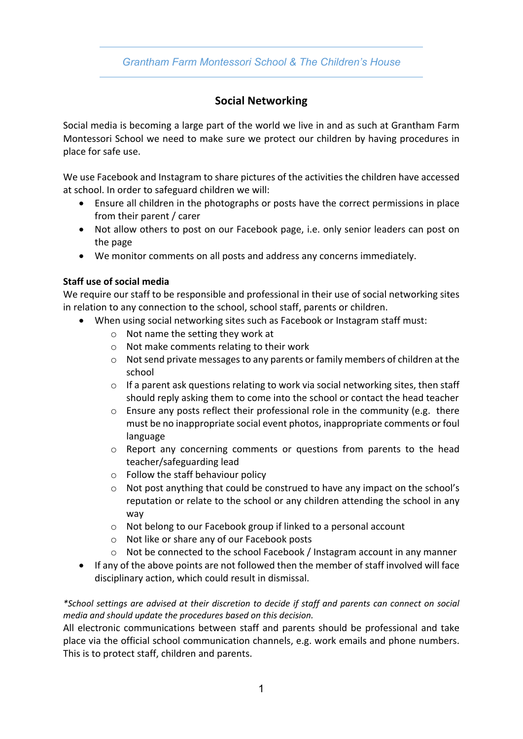## *Grantham Farm Montessori School & The Children's House*

# **Social Networking**

Social media is becoming a large part of the world we live in and as such at Grantham Farm Montessori School we need to make sure we protect our children by having procedures in place for safe use.

We use Facebook and Instagram to share pictures of the activities the children have accessed at school. In order to safeguard children we will:

- Ensure all children in the photographs or posts have the correct permissions in place from their parent / carer
- Not allow others to post on our Facebook page, i.e. only senior leaders can post on the page
- We monitor comments on all posts and address any concerns immediately.

### **Staff use of social media**

We require our staff to be responsible and professional in their use of social networking sites in relation to any connection to the school, school staff, parents or children.

- When using social networking sites such as Facebook or Instagram staff must:
	- o Not name the setting they work at
	- o Not make comments relating to their work
	- o Not send private messages to any parents or family members of children at the school
	- $\circ$  If a parent ask questions relating to work via social networking sites, then staff should reply asking them to come into the school or contact the head teacher
	- $\circ$  Ensure any posts reflect their professional role in the community (e.g. there must be no inappropriate social event photos, inappropriate comments or foul language
	- o Report any concerning comments or questions from parents to the head teacher/safeguarding lead
	- o Follow the staff behaviour policy
	- o Not post anything that could be construed to have any impact on the school's reputation or relate to the school or any children attending the school in any way
	- o Not belong to our Facebook group if linked to a personal account
	- o Not like or share any of our Facebook posts
	- o Not be connected to the school Facebook / Instagram account in any manner
- If any of the above points are not followed then the member of staff involved will face disciplinary action, which could result in dismissal.

*\*School settings are advised at their discretion to decide if staff and parents can connect on social media and should update the procedures based on this decision.* 

All electronic communications between staff and parents should be professional and take place via the official school communication channels, e.g. work emails and phone numbers. This is to protect staff, children and parents.